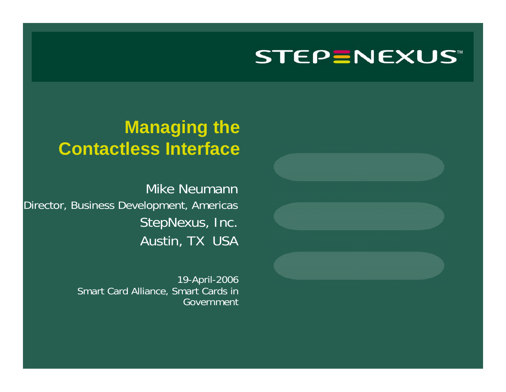### **Managing the Contactless Interface**

Mike Neumann Director, Business Development, Americas StepNexus, Inc. Austin, TX USA

> 19-April-2006 Smart Card Alliance, Smart Cards in Government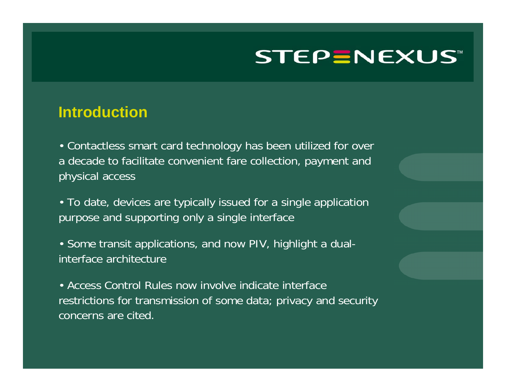#### **Introduction**

• Contactless smart card technology has been utilized for over a decade to facilitate convenient fare collection, payment and physical access

• To date, devices are typically issued for a single application purpose and supporting only a single interface

• Some transit applications, and now PIV, highlight a dualinterface architecture

• Access Control Rules now involve indicate interface restrictions for transmission of some data; privacy and security concerns are cited.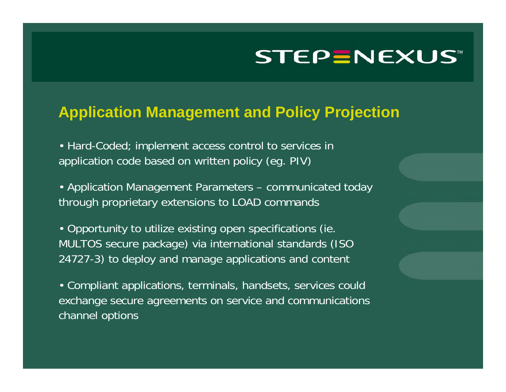#### **Application Management and Policy Projection**

• Hard-Coded; implement access control to services in application code based on written policy (eg. PIV)

• Application Management Parameters – communicated today through proprietary extensions to LOAD commands

• Opportunity to utilize existing open specification s (ie. MULTOS sec ure package) via international standards (ISO 24727-3) to deploy and manage applications and content

• Compliant applications, terminals, handsets, services could exc hange secure agreements on service and communications channel options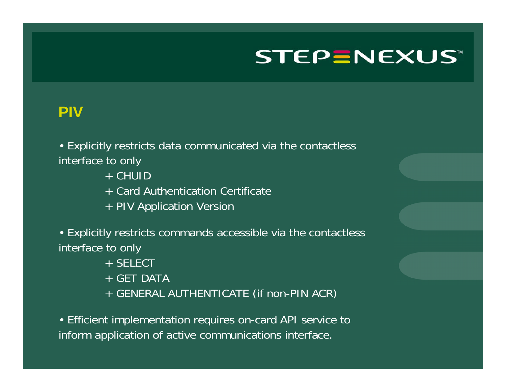#### **PIV**

• Explicitly restricts data communicated via the contactless interface to only

- + CHUID
- + Card Authentication Certificate
- + PIV Application Version

• Explicitly restricts commands accessible via the contactless interface to only

- + SELECT
- + GET DATA
- + GENERAL AUTHENTICATE (if non-PIN ACR)

• Efficient implementation requires on-card API service to inform application of active communications interface.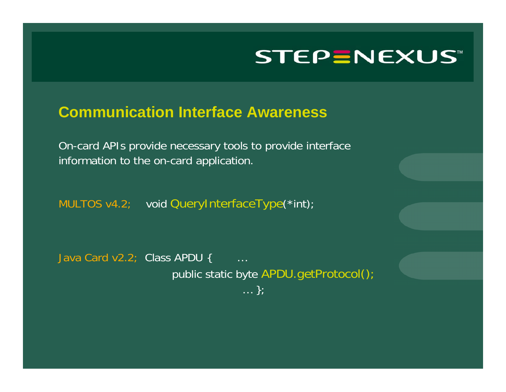#### **Communication Interface Awareness**

On-card APIs pro vide necessary tools to provide interface information t o the on-card application.

MULTOS v4.2; void QueryInterfaceType(\*int);

Java Card v2.2; Class APDU { … public static byte APDU.getProtocol(); … };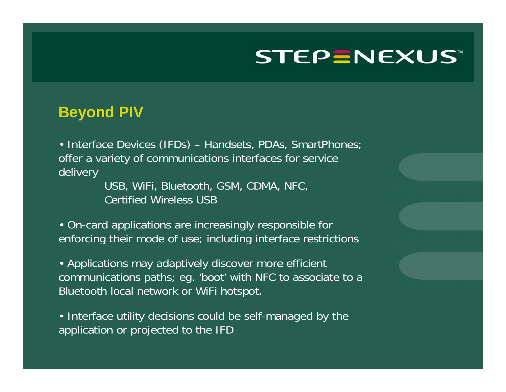#### **Beyond PIV**

• Interface Devices (IFDs) – Handsets, PDAs, SmartPhones; offer a variety of communications interfaces for service delivery

> USB, WiFi, Bluetooth, GSM, CDMA, NFC, Certified Wireless USB

• On-card applications are increasingly responsible for enforcing their mode of use; including interface restrictions

• Applications may adaptively discover more efficient communications paths; eg. 'boot' with NFC to associate to a Bluetooth local network or WiFi hotspot.

• Interface utility decisions could be self-managed by the application or projected to the IFD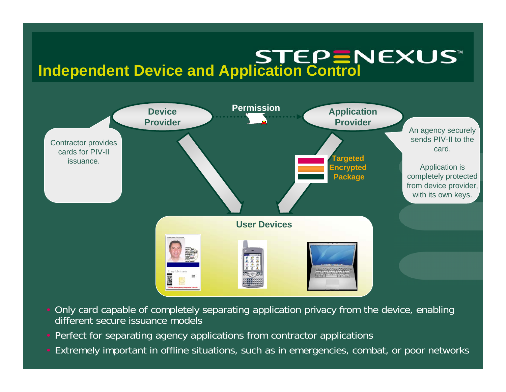# **Independent Device and Application Control**<br>■Independent Device and Application Control



- Only card capable of completely separating application privacy from the device, enabling different secure issuance models
- Perfect for separating agency applications from contractor applications
- Extremely important in offline situations, such as in emergencies, combat, or poor networks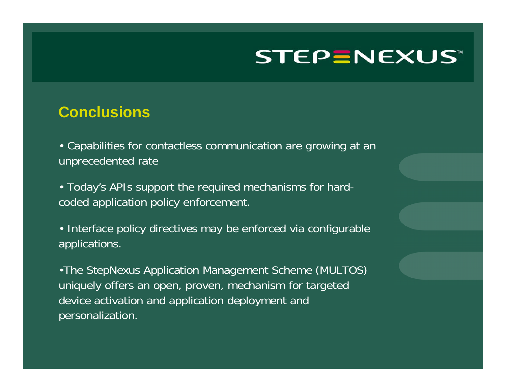#### **Conclusions**

• Capabilities for contactless communication are growing at an unprecedented rate

• Today's APIs support the required mechanisms for hardcoded application policy enforcement.

• Interface policy directives may be enforced via configurable applications.

•The StepNexus Application Management Scheme (MULTOS) uniquely offers an open, proven, mechanism for targeted device activation and application deployment and personalization.